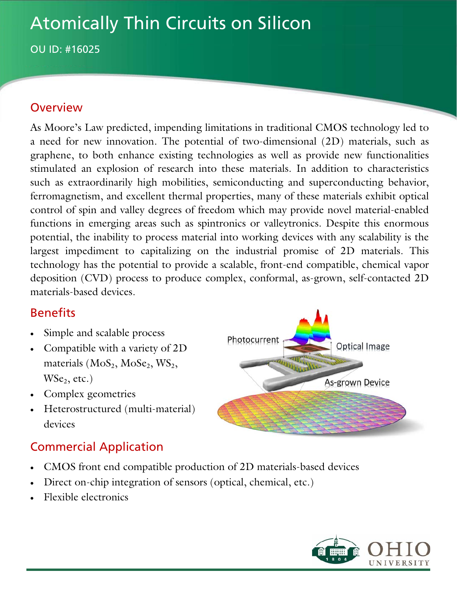# Atomically Thin Circuits on Silicon

OU ID: #16025

### **Overview**

As Moore's Law predicted, impending limitations in traditional CMOS technology led to a need for new innovation. The potential of two-dimensional (2D) materials, such as graphene, to both enhance existing technologies as well as provide new functionalities stimulated an explosion of research into these materials. In addition to characteristics such as extraordinarily high mobilities, semiconducting and superconducting behavior, ferromagnetism, and excellent thermal properties, many of these materials exhibit optical control of spin and valley degrees of freedom which may provide novel material-enabled functions in emerging areas such as spintronics or valleytronics. Despite this enormous potential, the inability to process material into working devices with any scalability is the largest impediment to capitalizing on the industrial promise of 2D materials. This technology has the potential to provide a scalable, front-end compatible, chemical vapor deposition (CVD) process to produce complex, conformal, as-grown, self-contacted 2D materials-based devices.

## Benefits

- Simple and scalable process
- Compatible with a variety of 2D materials  $(MoS<sub>2</sub>, MoSe<sub>2</sub>, WS<sub>2</sub>$ ,  $WSe<sub>2</sub>$ , etc.)
- Complex geometries
- Heterostructured (multi-material) devices

## Commercial Application

- CMOS front end compatible production of 2D materials-based devices
- Direct on-chip integration of sensors (optical, chemical, etc.)
- Flexible electronics